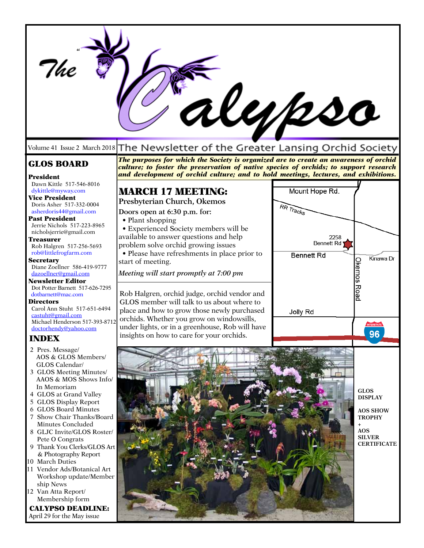|                                                                                                                                                                                                                                                                                                                                                                                                                                                                                                                                                                 |                                                                                                                                                                                                                                                                                                                                                      | lubso                                                                         |                                                                                                                                     |
|-----------------------------------------------------------------------------------------------------------------------------------------------------------------------------------------------------------------------------------------------------------------------------------------------------------------------------------------------------------------------------------------------------------------------------------------------------------------------------------------------------------------------------------------------------------------|------------------------------------------------------------------------------------------------------------------------------------------------------------------------------------------------------------------------------------------------------------------------------------------------------------------------------------------------------|-------------------------------------------------------------------------------|-------------------------------------------------------------------------------------------------------------------------------------|
|                                                                                                                                                                                                                                                                                                                                                                                                                                                                                                                                                                 | Volume 41 Issue 2 March 2018 The Newsletter of the Greater Lansing Orchid Society                                                                                                                                                                                                                                                                    |                                                                               |                                                                                                                                     |
| <b>GLOS BOARD</b><br>President                                                                                                                                                                                                                                                                                                                                                                                                                                                                                                                                  | The purposes for which the Society is organized are to create an awareness of orchid<br>culture; to foster the preservation of native species of orchids; to support research<br>and development of orchid culture; and to hold meetings, lectures, and exhibitions.                                                                                 |                                                                               |                                                                                                                                     |
| Dawn Kittle 517-546-8016<br>dykittle@myway.com<br>Vice President<br>Doris Asher 517-332-0004<br>asherdoris44@gmail.com<br><b>Past President</b><br>Jerrie Nichols 517-223-8965<br>nicholsjerrie@gmail.com<br>Treasurer<br>Rob Halgren 517-256-5693<br>rob@littlefrogfarm.com<br><b>Secretary</b><br>Diane Zoellner 586-419-9777<br>dazoellner@gmail.com<br><b>Newsletter Editor</b>                                                                                                                                                                             | <b>MARCH 17 MEETING:</b><br>Presbyterian Church, Okemos<br>Doors open at 6:30 p.m. for:<br>• Plant shopping<br>• Experienced Society members will be<br>available to answer questions and help<br>problem solve orchid growing issues<br>• Please have refreshments in place prior to<br>start of meeting.<br>Meeting will start promptly at 7:00 pm | Mount Hope Rd.<br>RR Tracks<br>2258<br><b>Bennett Rd</b><br><b>Bennett Rd</b> | Kinawa Dr<br><b>Okemos Road</b>                                                                                                     |
| Dot Potter Barnett 517-626-7295<br>dotbarnett@mac.com<br><b>Directors</b><br>Carol Ann Stuht 517-651-6494<br>castuht@gmail.com<br>Michael Henderson 517-393-8712<br>doctorhendy@yahoo.com<br><b>INDEX</b>                                                                                                                                                                                                                                                                                                                                                       | Rob Halgren, orchid judge, orchid vendor and<br>GLOS member will talk to us about where to<br>place and how to grow those newly purchased<br>orchids. Whether you grow on windowsills,<br>under lights, or in a greenhouse, Rob will have<br>insights on how to care for your orchids.                                                               | Jolly Rd                                                                      | <b>INTERSTAT</b><br>96                                                                                                              |
| 2 Pres. Message/<br>AOS & GLOS Members/<br>GLOS Calendar/<br>3 GLOS Meeting Minutes/<br>AAOS & MOS Shows Info/<br>In Memoriam<br>4 GLOS at Grand Valley<br>5 GLOS Display Report<br>6 GLOS Board Minutes<br>7 Show Chair Thanks/Board<br>Minutes Concluded<br>8 GLJC Invite/GLOS Roster/<br>Pete O Congrats<br>9 Thank You Clerks/GLOS Art<br>& Photography Report<br>10 March Duties<br>11 Vendor Ads/Botanical Art<br>Workshop update/Member<br>ship News<br>12 Van Atta Report/<br>Membership form<br><b>CALYPSO DEADLINE:</b><br>April 29 for the May issue |                                                                                                                                                                                                                                                                                                                                                      |                                                                               | <b>GLOS</b><br><b>DISPLAY</b><br><b>AOS SHOW</b><br><b>TROPHY</b><br>$\ddot{}$<br><b>AOS</b><br><b>SILVER</b><br><b>CERTIFICATE</b> |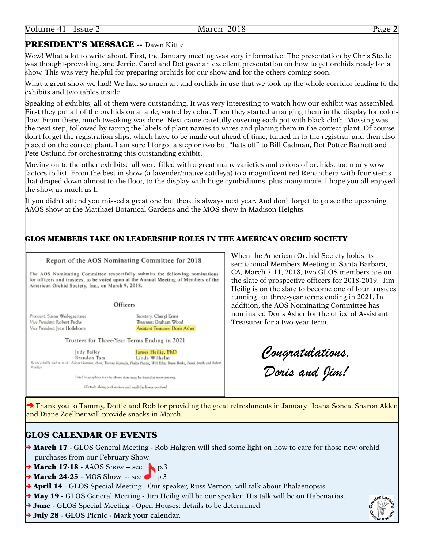### PRESIDENT'S MESSAGE -- Dawn Kittle

Wow! What a lot to write about. First, the January meeting was very informative: The presentation by Chris Steele was thought-provoking, and Jerrie, Carol and Dot gave an excellent presentation on how to get orchids ready for a show. This was very helpful for preparing orchids for our show and for the others coming soon.

What a great show we had! We had so much art and orchids in use that we took up the whole corridor leading to the exhibits and two tables inside.

Speaking of exhibits, all of them were outstanding. It was very interesting to watch how our exhibit was assembled. First they put all of the orchids on a table, sorted by color. Then they started arranging them in the display for colorflow. From there, much tweaking was done. Next came carefully covering each pot with black cloth. Mossing was the next step, followed by taping the labels of plant names to wires and placing them in the correct plant. Of course don't forget the registration slips, which have to be made out ahead of time, turned in to the registrar, and then also placed on the correct plant. I am sure I forgot a step or two but "hats off" to Bill Cadman, Dot Potter Barnett and Pete Ostlund for orchestrating this outstanding exhibit.

Moving on to the other exhibits: all were filled with a great many varieties and colors of orchids, too many wow factors to list. From the best in show (a lavender/mauve cattleya) to a magnificent red Renanthera with four stems that draped down almost to the floor, to the display with huge cymbidiums, plus many more. I hope you all enjoyed the show as much as I.

If you didn't attend you missed a great one but there is always next year. And don't forget to go see the upcoming AAOS show at the Matthaei Botanical Gardens and the MOS show in Madison Heights.

#### GLOS MEMBERS TAKE ON LEADERSHIP ROLES IN THE AMERICAN ORCHID SOCIETY

#### Report of the AOS Nominating Committee for 2018

The AOS Nominating Committee respectfully submits the following nominations for officers and trustees, to be voted upon at the Annual Meeting of Members of the American Orchid Society, Inc., on March 9, 2018.

Officers

President: Susan Wedegaertner Vice President: Robert Fuchs Vice President: Iean Hollebone

Secretary: Cheryl Erins Treasurer: Graham Wood Assistant Treasurer: Doris Asher

Trustees for Three-Year Terms Ending in 2021

Judy Bailey James Heilig, PhD Linda Wilhelm Brandon Tam Respectfully submitted: Aileen Garrison, chair, Theresa Kennedy, Phyllis Prestia, Will Riley, Bryon Rinke, Frank Smith and Robert

Brief biographies for the above slate may be found at www.aos.org.

(Detach along perforation and mail the lower portion).

When the American Orchid Society holds its semiannual Members Meeting in Santa Barbara, CA, March 7-11, 2018, two GLOS members are on the slate of prospective officers for 2018-2019. Jim Heilig is on the slate to become one of four trustees running for three-year terms ending in 2021. In addition, the AOS Nominating Committee has nominated Doris Asher for the office of Assistant Treasurer for a two-year term.

*Congratulations, Doris and Jim!*

◆ Thank you to Tammy, Dottie and Rob for providing the great refreshments in January. Ioana Sonea, Sharon Alden and Diane Zoellner will provide snacks in March.

### GLOS CALENDAR OF EVENTS

- → March 17 GLOS General Meeting Rob Halgren will shed some light on how to care for those new orchid purchases from our February Show.
- $\rightarrow$  March 17-18 AAOS Show -- see
- $\rightarrow$  March 24-25 MOS Show -- see p.3
- → **April 14** GLOS Special Meeting Our speaker, Russ Vernon, will talk about Phalaenopsis.
- $\rightarrow$  May 19 GLOS General Meeting Jim Heilig will be our speaker. His talk will be on Habenarias.
- → June GLOS Special Meeting Open Houses: details to be determined.
- ➜ July 28 **GLOS Picnic Mark your calendar.**

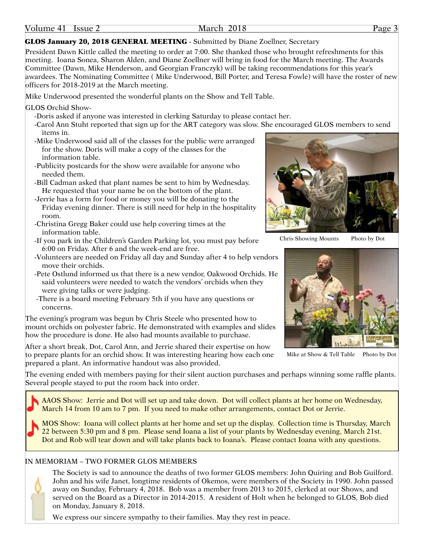#### GLOS January 20, 2018 GENERAL MEETING - Submitted by Diane Zoellner, Secretary

President Dawn Kittle called the meeting to order at 7:00. She thanked those who brought refreshments for this meeting. Ioana Sonea, Sharon Alden, and Diane Zoellner will bring in food for the March meeting. The Awards Committee (Dawn, Mike Henderson, and Georgian Franczyk) will be taking recommendations for this year's awardees. The Nominating Committee ( Mike Underwood, Bill Porter, and Teresa Fowle) will have the roster of new officers for 2018-2019 at the March meeting.

Mike Underwood presented the wonderful plants on the Show and Tell Table.

GLOS Orchid Show-

- -Doris asked if anyone was interested in clerking Saturday to please contact her.
- -Carol Ann Stuht reported that sign up for the ART category was slow. She encouraged GLOS members to send items in.
- -Mike Underwood said all of the classes for the public were arranged for the show. Doris will make a copy of the classes for the information table.
- -Publicity postcards for the show were available for anyone who needed them.
- -Bill Cadman asked that plant names be sent to him by Wednesday. He requested that your name be on the bottom of the plant.
- -Jerrie has a form for food or money you will be donating to the Friday evening dinner. There is still need for help in the hospitality room.
- -Christina Gregg Baker could use help covering times at the information table.
- -If you park in the Children's Garden Parking lot, you must pay before 6:00 on Friday. After 6 and the week-end are free.
- -Volunteers are needed on Friday all day and Sunday after 4 to help vendors move their orchids.
- -Pete Ostlund informed us that there is a new vendor, Oakwood Orchids. He said volunteers were needed to watch the vendors' orchids when they were giving talks or were judging.
- -There is a board meeting February 5th if you have any questions or concerns.

The evening's program was begun by Chris Steele who presented how to mount orchids on polyester fabric. He demonstrated with examples and slides how the procedure is done. He also had mounts available to purchase.

After a short break, Dot, Carol Ann, and Jerrie shared their expertise on how to prepare plants for an orchid show. It was interesting hearing how each one prepared a plant. An informative handout was also provided.



Chris Showing Mounts Photo by Dot



Mike at Show & Tell Table Photo by Dot

The evening ended with members paying for their silent auction purchases and perhaps winning some raffle plants. Several people stayed to put the room back into order.

AAOS Show: Jerrie and Dot will set up and take down. Dot will collect plants at her home on Wednesday, March 14 from 10 am to 7 pm. If you need to make other arrangements, contact Dot or Jerrie.

MOS Show: Ioana will collect plants at her home and set up the display. Collection time is Thursday, March 22 between 5:30 pm and 8 pm. Please send Ioana a list of your plants by Wednesday evening, March 21st. Dot and Rob will tear down and will take plants back to Ioana's. Please contact Ioana with any questions.

#### IN MEMORIAM – TWO FORMER GLOS MEMBERS



The Society is sad to announce the deaths of two former GLOS members: John Quiring and Bob Guilford. John and his wife Janet, longtime residents of Okemos, were members of the Society in 1990. John passed away on Sunday, February 4, 2018. Bob was a member from 2013 to 2015, clerked at our Shows, and served on the Board as a Director in 2014-2015. A resident of Holt when he belonged to GLOS, Bob died on Monday, January 8, 2018.

We express our sincere sympathy to their families. May they rest in peace.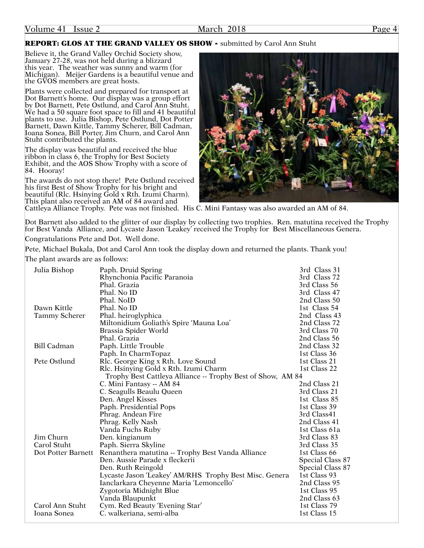#### REPORT: GLOS AT THE GRAND VALLEY OS SHOW - submitted by Carol Ann Stuht

Believe it, the Grand Valley Orchid Society show, January 27-28, was not held during a blizzard this year. The weather was sunny and warm (for Michigan). Meijer Gardens is a beautiful venue and the GVOS members are great hosts.

Plants were collected and prepared for transport at Dot Barnett's home. Our display was a group effort by Dot Barnett, Pete Ostlund, and Carol Ann Stuht. We had a 50 square foot space to fill and 41 beautiful plants to use. Julia Bishop, Pete Ostlund, Dot Potter Barnett, Dawn Kittle, Tammy Scherer, Bill Cadman, Ioana Sonea, Bill Porter, Jim Churn, and Carol Ann Stuht contributed the plants.

The display was beautiful and received the blue ribbon in class 6, the Trophy for Best Society Exhibit, and the AOS Show Trophy with a score of 84. Hooray!

The awards do not stop there! Pete Ostlund received his first Best of Show Trophy for his bright and beautiful (Rlc. Hsinying Gold x Rth. Izumi Charm). This plant also received an AM of 84 award and



Cattleya Alliance Trophy. Pete was not finished. His C. Mini Fantasy was also awarded an AM of 84.

Dot Barnett also added to the glitter of our display by collecting two trophies. Ren. matutina received the Trophy for Best Vanda Alliance, and Lycaste Jason 'Leakey' received the Trophy for Best Miscellaneous Genera. Congratulations Pete and Dot. Well done.

Pete, Michael Bukala, Dot and Carol Ann took the display down and returned the plants. Thank you!

The plant awards are as follows:

| Julia Bishop         | Paph. Druid Spring                                          | 3rd Class 31     |
|----------------------|-------------------------------------------------------------|------------------|
|                      | Rhynchonia Pacific Paranoia                                 | 3rd Class 72     |
|                      | Phal. Grazia                                                | 3rd Class 56     |
|                      | Phal. No ID                                                 | 3rd Class 47     |
|                      | Phal. NoID                                                  | 2nd Class 50     |
| Dawn Kittle          | Phal. No ID                                                 | 1st Class 54     |
| <b>Tammy Scherer</b> | Phal. heiroglyphica                                         | 2nd Class 43     |
|                      | Miltonidium Goliath's Spire 'Mauna Loa'                     | 2nd Class 72     |
|                      | Brassia Spider World                                        | 3rd Class 70     |
|                      | Phal. Grazia                                                | 2nd Class 56     |
| <b>Bill Cadman</b>   | Paph. Little Trouble                                        | 2nd Class 32     |
|                      | Paph. In CharmTopaz                                         | 1st Class 36     |
| Pete Ostlund         | Rlc. George King x Rth. Love Sound                          | 1st Class 21     |
|                      | Rlc. Hsinying Gold x Rth. Izumi Charm                       | 1st Class 22     |
|                      | Trophy Best Cattleya Alliance -- Trophy Best of Show, AM 84 |                  |
|                      | C. Mini Fantasy -- AM 84                                    | 2nd Class 21     |
|                      | C. Seagulls Beaulu Queen                                    | 3rd Class 21     |
|                      | Den. Angel Kisses                                           | 1st Class 85     |
|                      | Paph. Presidential Pops                                     | 1st Class 39     |
|                      | Phrag. Andean Fire                                          | 3rd Class41      |
|                      | Phrag. Kelly Nash                                           | 2nd Class 41     |
|                      | Vanda Fuchs Ruby                                            | 1st Class 61a    |
| Jim Churn            | Den. kingianum                                              | 3rd Class 83     |
| Carol Stuht          | Paph. Sierra Skyline                                        | 3rd Class 35     |
| Dot Potter Barnett   | Renanthera matutina -- Trophy Best Vanda Alliance           | 1st Class 66     |
|                      | Den. Aussie Parade x fleckerii                              | Special Class 87 |
|                      | Den. Ruth Reingold                                          | Special Class 87 |
|                      | Lycaste Jason 'Leakey' AM/RHS Trophy Best Misc. Genera      | 1st Class 93     |
|                      | Ianclarkara Cheyenne Maria 'Lemoncello'                     | 2nd Class 95     |
|                      | Zygotoria Midnight Blue                                     | 1st Class 95     |
|                      | Vanda Blaupunkt                                             | 2nd Class 63     |
| Carol Ann Stuht      | Cym. Red Beauty 'Evening Star'                              | 1st Class 79     |
| Ioana Sonea          | C. walkeriana, semi-alba                                    | 1st Class 15     |
|                      |                                                             |                  |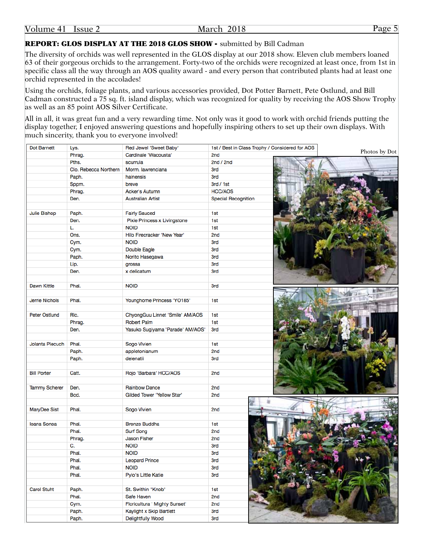Volume 41 Issue 2 March 2018 Page 5

REPORT: GLOS DISPLAY AT THE 2018 GLOS SHOW - submitted by Bill Cadman

The diversity of orchids was well represented in the GLOS display at our 2018 show. Eleven club members loaned 63 of their gorgeous orchids to the arrangement. Forty-two of the orchids were recognized at least once, from 1st in specific class all the way through an AOS quality award - and every person that contributed plants had at least one orchid represented in the accolades!

Using the orchids, foliage plants, and various accessories provided, Dot Potter Barnett, Pete Ostlund, and Bill Cadman constructed a 75 sq. ft. island display, which was recognized for quality by receiving the AOS Show Trophy as well as an 85 point AOS Silver Certificate.

All in all, it was great fun and a very rewarding time. Not only was it good to work with orchid friends putting the display together, I enjoyed answering questions and hopefully inspiring others to set up their own displays. With much sincerity, thank you to everyone involved!

| <b>Dot Barnett</b>    | Lys.                  | Red Jewel 'Sweet Baby'           | 1st / Best in Class Trophy / Considered for AOS |               |
|-----------------------|-----------------------|----------------------------------|-------------------------------------------------|---------------|
|                       | Phrag.                | Cardinale 'Wacousta'             | 2nd                                             | Photos by Dot |
|                       | Pths.                 | scurrula                         | 2nd / 2nd                                       |               |
|                       | Clo. Rebecca Northern | Morm. lawrenciana                | 3rd                                             |               |
|                       | Paph.                 | hainensis                        | 3rd                                             |               |
|                       | Sppm.                 | breve                            | 3rd / 1st                                       |               |
|                       | Phrag.                | <b>Acker's Autumn</b>            | <b>HCC/AOS</b>                                  |               |
|                       | Den.                  | <b>Australian Artist</b>         | <b>Special Recognition</b>                      |               |
|                       |                       |                                  |                                                 |               |
| Julie Bishop          | Paph.                 | <b>Fairly Sauced</b>             | 1st                                             |               |
|                       | Den.                  | Pixie Princess x Livingstone     | 1st                                             |               |
|                       | L.                    | <b>NOID</b>                      | 1st                                             |               |
|                       | Ons.                  | Hilo Firecracker 'New Year'      | 2nd                                             |               |
|                       | Cym.                  | <b>NOID</b>                      | <b>3rd</b>                                      |               |
|                       | Cym.                  | <b>Double Eagle</b>              | <b>3rd</b>                                      |               |
|                       | Paph.                 | Norito Hasegawa                  | <b>3rd</b>                                      |               |
|                       | Lip.                  | grossa                           | <b>3rd</b>                                      |               |
|                       | Den.                  | x delicatum                      | <b>3rd</b>                                      |               |
|                       |                       |                                  |                                                 |               |
| Dawn Kittle           | Phal.                 | <b>NOID</b>                      | <b>3rd</b>                                      |               |
|                       |                       |                                  |                                                 |               |
| <b>Jerrie Nichols</b> | Phal.                 |                                  |                                                 |               |
|                       |                       | Younghome Princess 'YO185'       | 1st                                             |               |
|                       |                       |                                  |                                                 |               |
| <b>Peter Ostlund</b>  | RIc.                  | ChyongGuu Linnet 'Smile' AM/AOS  | 1st                                             |               |
|                       | Phrag.                | <b>Robert Palm</b>               | 1st                                             |               |
|                       | Den.                  | Yasuko Sugiyama 'Parade' AM/AOS' | 3rd                                             |               |
|                       |                       |                                  |                                                 |               |
| Jolanta Piecuch       | Phal.                 | Sogo Vivien                      | 1st                                             |               |
|                       | Paph.                 | appletonianum                    | 2nd                                             |               |
|                       | Paph.                 | delenatii                        | <b>3rd</b>                                      |               |
|                       |                       |                                  |                                                 |               |
| <b>Bill Porter</b>    | Catt.                 | Rojo 'Barbara' HCC/AOS           | 2nd                                             |               |
|                       |                       |                                  |                                                 |               |
| <b>Tammy Scherer</b>  | Den.                  | <b>Rainbow Dance</b>             | 2nd                                             |               |
|                       | Bcd.                  | Gilded Tower 'Yellow Star'       | 2nd                                             |               |
|                       |                       |                                  |                                                 |               |
| MaryDee Sist          | Phal.                 | Sogo Vivien                      | 2nd                                             |               |
|                       |                       |                                  |                                                 |               |
| Ioana Sonea           | Phal.                 | <b>Bronze Buddha</b>             | 1st                                             |               |
|                       | Phal.                 | <b>Surf Song</b>                 | 2nd                                             |               |
|                       | Phrag.                | <b>Jason Fisher</b>              | 2nd                                             |               |
|                       | C.                    | <b>NOID</b>                      | 3rd                                             |               |
|                       | Phal.                 | <b>NOID</b>                      | 3rd                                             |               |
|                       | Phal.                 | <b>Leopard Prince</b>            | 3rd                                             |               |
|                       | Phal.                 | <b>NOID</b>                      | 3rd                                             |               |
|                       | Phal.                 | Pylo's Little Katie              | 3rd                                             |               |
|                       |                       |                                  |                                                 |               |
| <b>Carol Stuht</b>    | Paph.                 | St. Swithin "Knob"               | 1st                                             |               |
|                       | Phal.                 | Safe Haven                       | 2nd                                             |               |
|                       | Cym.                  | Floricultura ' Mighty Sunset'    | 2nd                                             |               |
|                       | Paph.                 | Kaylight x Skip Bartlett         | <b>3rd</b>                                      |               |
|                       | Paph.                 | <b>Delightfully Wood</b>         | 3rd                                             |               |
|                       |                       |                                  |                                                 |               |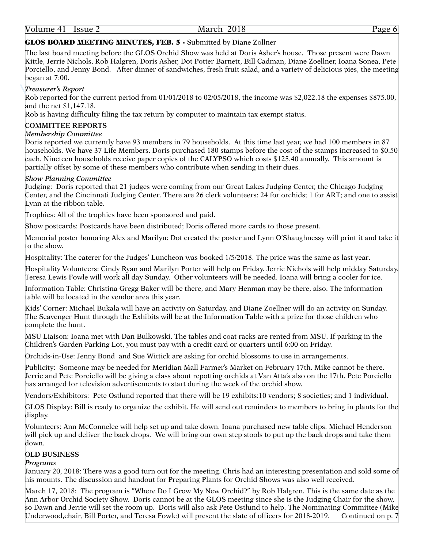#### GLOS BOARD MEETING MINUTES, FEB. 5 - Submitted by Diane Zollner

The last board meeting before the GLOS Orchid Show was held at Doris Asher's house. Those present were Dawn Kittle, Jerrie Nichols, Rob Halgren, Doris Asher, Dot Potter Barnett, Bill Cadman, Diane Zoellner, Ioana Sonea, Pete Porciello, and Jenny Bond. After dinner of sandwiches, fresh fruit salad, and a variety of delicious pies, the meeting began at 7:00.

#### *Treasurer's Report*

Rob reported for the current period from 01/01/2018 to 02/05/2018, the income was \$2,022.18 the expenses \$875.00, and the net \$1,147.18.

Rob is having difficulty filing the tax return by computer to maintain tax exempt status.

#### **COMMITTEE REPORTS**

#### *Membership Committee*

Doris reported we currently have 93 members in 79 households. At this time last year, we had 100 members in 87 households. We have 37 Life Members. Doris purchased 180 stamps before the cost of the stamps increased to \$0.50 each. Nineteen households receive paper copies of the CALYPSO which costs \$125.40 annually. This amount is partially offset by some of these members who contribute when sending in their dues.

#### *Show Planning Committee*

Judging: Doris reported that 21 judges were coming from our Great Lakes Judging Center, the Chicago Judging Center, and the Cincinnati Judging Center. There are 26 clerk volunteers: 24 for orchids; 1 for ART; and one to assist Lynn at the ribbon table.

Trophies: All of the trophies have been sponsored and paid.

Show postcards: Postcards have been distributed; Doris offered more cards to those present.

Memorial poster honoring Alex and Marilyn: Dot created the poster and Lynn O'Shaughnessy will print it and take it to the show.

Hospitality: The caterer for the Judges' Luncheon was booked 1/5/2018. The price was the same as last year.

Hospitality Volunteers: Cindy Ryan and Marilyn Porter will help on Friday. Jerrie Nichols will help midday Saturday. Teresa Lewis Fowle will work all day Sunday. Other volunteers will be needed. Ioana will bring a cooler for ice.

Information Table: Christina Gregg Baker will be there, and Mary Henman may be there, also. The information table will be located in the vendor area this year.

Kids' Corner: Michael Bukala will have an activity on Saturday, and Diane Zoellner will do an activity on Sunday. The Scavenger Hunt through the Exhibits will be at the Information Table with a prize for those children who complete the hunt.

MSU Liaison: Ioana met with Dan Bulkowski. The tables and coat racks are rented from MSU. If parking in the Children's Garden Parking Lot, you must pay with a credit card or quarters until 6:00 on Friday.

Orchids-in-Use: Jenny Bond and Sue Wittick are asking for orchid blossoms to use in arrangements.

Publicity: Someone may be needed for Meridian Mall Farmer's Market on February 17th. Mike cannot be there. Jerrie and Pete Porciello will be giving a class about repotting orchids at Van Atta's also on the 17th. Pete Porciello has arranged for television advertisements to start during the week of the orchid show.

Vendors/Exhibitors: Pete Ostlund reported that there will be 19 exhibits:10 vendors; 8 societies; and 1 individual.

GLOS Display: Bill is ready to organize the exhibit. He will send out reminders to members to bring in plants for the display.

Volunteers: Ann McConnelee will help set up and take down. Ioana purchased new table clips. Michael Henderson will pick up and deliver the back drops. We will bring our own step stools to put up the back drops and take them down.

#### **OLD BUSINESS**

#### *Programs*

January 20, 2018: There was a good turn out for the meeting. Chris had an interesting presentation and sold some of his mounts. The discussion and handout for Preparing Plants for Orchid Shows was also well received.

March 17, 2018: The program is "Where Do I Grow My New Orchid?" by Rob Halgren. This is the same date as the Ann Arbor Orchid Society Show. Doris cannot be at the GLOS meeting since she is the Judging Chair for the show, so Dawn and Jerrie will set the room up. Doris will also ask Pete Ostlund to help. The Nominating Committee (Mike Underwood,chair, Bill Porter, and Teresa Fowle) will present the slate of officers for 2018-2019. Continued on p. 7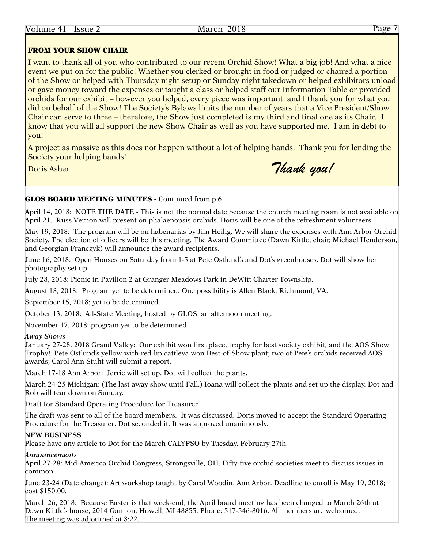#### FROM YOUR SHOW CHAIR

I want to thank all of you who contributed to our recent Orchid Show! What a big job! And what a nice event we put on for the public! Whether you clerked or brought in food or judged or chaired a portion of the Show or helped with Thursday night setup or Sunday night takedown or helped exhibitors unload or gave money toward the expenses or taught a class or helped staff our Information Table or provided orchids for our exhibit – however you helped, every piece was important, and I thank you for what you did on behalf of the Show! The Society's Bylaws limits the number of years that a Vice President/Show Chair can serve to three – therefore, the Show just completed is my third and final one as its Chair. I know that you will all support the new Show Chair as well as you have supported me. I am in debt to you!

A project as massive as this does not happen without a lot of helping hands. Thank you for lending the Society your helping hands!

Doris Asher **Thank you!** 

### GLOS BOARD MEETING MINUTES - Continued from p.6

April 14, 2018: NOTE THE DATE - This is not the normal date because the church meeting room is not available on April 21. Russ Vernon will present on phalaenopsis orchids. Doris will be one of the refreshment volunteers.

May 19, 2018: The program will be on habenarias by Jim Heilig. We will share the expenses with Ann Arbor Orchid Society. The election of officers will be this meeting. The Award Committee (Dawn Kittle, chair, Michael Henderson, and Georgian Franczyk) will announce the award recipients.

June 16, 2018: Open Houses on Saturday from 1-5 at Pete Ostlund's and Dot's greenhouses. Dot will show her photography set up.

July 28, 2018: Picnic in Pavilion 2 at Granger Meadows Park in DeWitt Charter Township.

August 18, 2018: Program yet to be determined. One possibility is Allen Black, Richmond, VA.

September 15, 2018: yet to be determined.

October 13, 2018: All-State Meeting, hosted by GLOS, an afternoon meeting.

November 17, 2018: program yet to be determined.

#### *Away Shows*

January 27-28, 2018 Grand Valley: Our exhibit won first place, trophy for best society exhibit, and the AOS Show Trophy! Pete Ostlund's yellow-with-red-lip cattleya won Best-of-Show plant; two of Pete's orchids received AOS awards; Carol Ann Stuht will submit a report.

March 17-18 Ann Arbor: Jerrie will set up. Dot will collect the plants.

March 24-25 Michigan: (The last away show until Fall.) Ioana will collect the plants and set up the display. Dot and Rob will tear down on Sunday.

Draft for Standard Operating Procedure for Treasurer

The draft was sent to all of the board members. It was discussed. Doris moved to accept the Standard Operating Procedure for the Treasurer. Dot seconded it. It was approved unanimously.

#### **NEW BUSINESS**

Please have any article to Dot for the March CALYPSO by Tuesday, February 27th.

*Announcements*

April 27-28: Mid-America Orchid Congress, Strongsville, OH. Fifty-five orchid societies meet to discuss issues in common.

June 23-24 (Date change): Art workshop taught by Carol Woodin, Ann Arbor. Deadline to enroll is May 19, 2018; cost \$150.00.

March 26, 2018: Because Easter is that week-end, the April board meeting has been changed to March 26th at Dawn Kittle's house, 2014 Gannon, Howell, MI 48855. Phone: 517-546-8016. All members are welcomed. The meeting was adjourned at 8:22.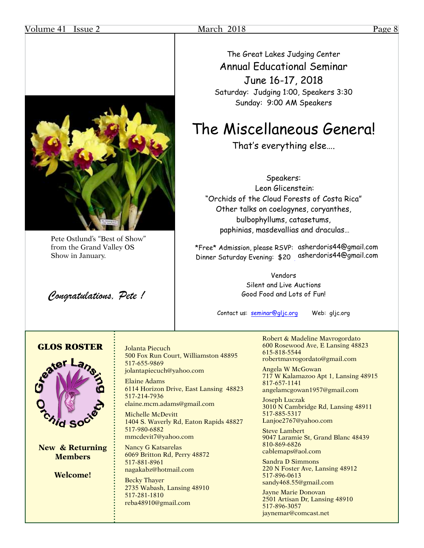#### Volume 41 Issue 2 March 2018 Page 8



Pete Ostlund's "Best of Show" from the Grand Valley OS Show in January.

*Congratulations, Pete !*

The Great Lakes Judging Center Annual Educational Seminar June 16-17, 2018 Saturday: Judging 1:00, Speakers 3:30 Sunday: 9:00 AM Speakers

## The Miscellaneous Genera!

That's everything else….

Speakers: Leon Glicenstein: "Orchids of the Cloud Forests of Costa Rica" Other talks on coelogynes, coryanthes, bulbophyllums, catasetums, paphinias, masdevallias and draculas…

\*Free\* Admission, please RSVP: asherdoris44@gmail.com Dinner Saturday Evening: \$20 asherdoris44@gmail.com

> Vendors Silent and Live Auctions Good Food and Lots of Fun!

Contact us: seminar@gljc.org Web: gljc.org

### GLOS ROSTER



**New & Returning Members**

**Welcome!**

Jolanta Piecuch 500 Fox Run Court, Williamston 48895 517-655-9869 jolantapiecuch@yahoo.com

Elaine Adams 6114 Horizon Drive, East Lansing 48823 517-214-7936 elaine.mcm.adams@gmail.com

Michelle McDevitt 1404 S. Waverly Rd, Eaton Rapids 48827 517-980-6882 mmcdevit7@yahoo.com

Nancy G Katsarelas 6069 Britton Rd, Perry 48872 517-881-8961 nagakabz@hotmail.com

Becky Thayer 2735 Wabash, Lansing 48910 517-281-1810 reba48910@gmail.com

Robert & Madeline Mavrogordato 600 Rosewood Ave, E Lansing 48823 615-818-5544 robertmavrogordato@gmail.com

Angela W McGowan 717 W Kalamazoo Apt 1, Lansing 48915 817-657-1141 angelamcgowan1957@gmail.com

Joseph Luczak 3010 N Cambridge Rd, Lansing 48911

517-885-5317 Lanjoe2767@yahoo.com

Steve Lambert 9047 Laramie St, Grand Blanc 48439 810-869-6826 cablemaps@aol.com

Sandra D Simmons 220 N Foster Ave, Lansing 48912 517-896-0613 sandy468.55@gmail.com

Jayne Marie Donovan 2501 Artisan Dr, Lansing 48910 517-896-3057 jaynemar@comcast.net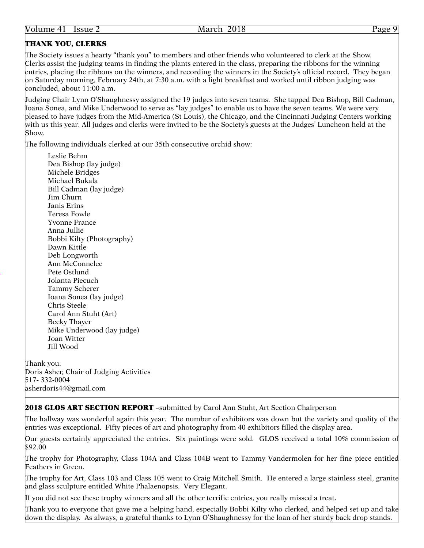### THANK YOU, CLERKS

The Society issues a hearty "thank you" to members and other friends who volunteered to clerk at the Show. Clerks assist the judging teams in finding the plants entered in the class, preparing the ribbons for the winning entries, placing the ribbons on the winners, and recording the winners in the Society's official record. They began on Saturday morning, February 24th, at 7:30 a.m. with a light breakfast and worked until ribbon judging was concluded, about 11:00 a.m.

Judging Chair Lynn O'Shaughnessy assigned the 19 judges into seven teams. She tapped Dea Bishop, Bill Cadman, Ioana Sonea, and Mike Underwood to serve as "lay judges" to enable us to have the seven teams. We were very pleased to have judges from the Mid-America (St Louis), the Chicago, and the Cincinnati Judging Centers working with us this year. All judges and clerks were invited to be the Society's guests at the Judges' Luncheon held at the Show.

The following individuals clerked at our 35th consecutive orchid show:

Leslie Behm Dea Bishop (lay judge) Michele Bridges Michael Bukala Bill Cadman (lay judge) Jim Churn Janis Erins Teresa Fowle Yvonne France Anna Jullie Bobbi Kilty (Photography) Dawn Kittle Deb Longworth Ann McConnelee Pete Ostlund Jolanta Piecuch Tammy Scherer Ioana Sonea (lay judge) Chris Steele Carol Ann Stuht (Art) Becky Thayer Mike Underwood (lay judge) Joan Witter Jill Wood

Thank you. Doris Asher, Chair of Judging Activities 517- 332-0004 asherdoris44@gmail.com

2018 GLOS ART SECTION REPORT -submitted by Carol Ann Stuht, Art Section Chairperson

The hallway was wonderful again this year. The number of exhibitors was down but the variety and quality of the entries was exceptional. Fifty pieces of art and photography from 40 exhibitors filled the display area.

Our guests certainly appreciated the entries. Six paintings were sold. GLOS received a total 10% commission of \$92.00

The trophy for Photography, Class 104A and Class 104B went to Tammy Vandermolen for her fine piece entitled Feathers in Green.

The trophy for Art, Class 103 and Class 105 went to Craig Mitchell Smith. He entered a large stainless steel, granite and glass sculpture entitled White Phalaenopsis. Very Elegant.

If you did not see these trophy winners and all the other terrific entries, you really missed a treat.

Thank you to everyone that gave me a helping hand, especially Bobbi Kilty who clerked, and helped set up and take down the display. As always, a grateful thanks to Lynn O'Shaughnessy for the loan of her sturdy back drop stands.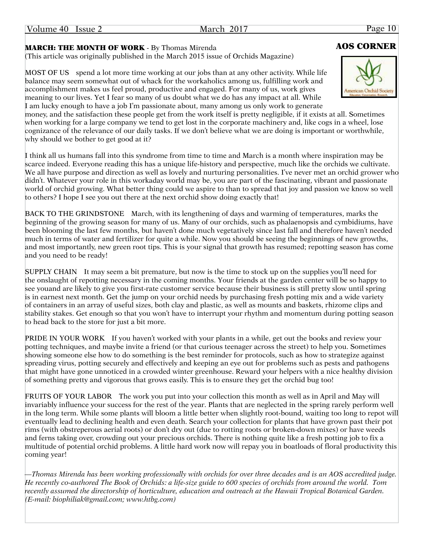Volume 40 Issue 2 March 2017 March 2017 Page 10

### MARCH: THE MONTH OF WORK - By Thomas Mirenda **AOS CORNER**

(This article was originally published in the March 2015 issue of Orchids Magazine)

MOST OF US spend a lot more time working at our jobs than at any other activity. While life balance may seem somewhat out of whack for the workaholics among us, fulfilling work and accomplishment makes us feel proud, productive and engaged. For many of us, work gives meaning to our lives. Yet I fear so many of us doubt what we do has any impact at all. While I am lucky enough to have a job I'm passionate about, many among us only work to generate

money, and the satisfaction these people get from the work itself is pretty negligible, if it exists at all. Sometimes when working for a large company we tend to get lost in the corporate machinery and, like cogs in a wheel, lose cognizance of the relevance of our daily tasks. If we don't believe what we are doing is important or worthwhile, why should we bother to get good at it?

I think all us humans fall into this syndrome from time to time and March is a month where inspiration may be scarce indeed. Everyone reading this has a unique life-history and perspective, much like the orchids we cultivate. We all have purpose and direction as well as lovely and nurturing personalities. I've never met an orchid grower who didn't. Whatever your role in this workaday world may be, you are part of the fascinating, vibrant and passionate world of orchid growing. What better thing could we aspire to than to spread that joy and passion we know so well to others? I hope I see you out there at the next orchid show doing exactly that!

BACK TO THE GRINDSTONE March, with its lengthening of days and warming of temperatures, marks the beginning of the growing season for many of us. Many of our orchids, such as phalaenopsis and cymbidiums, have been blooming the last few months, but haven't done much vegetatively since last fall and therefore haven't needed much in terms of water and fertilizer for quite a while. Now you should be seeing the beginnings of new growths, and most importantly, new green root tips. This is your signal that growth has resumed; repotting season has come and you need to be ready!

SUPPLY CHAIN It may seem a bit premature, but now is the time to stock up on the supplies you'll need for the onslaught of repotting necessary in the coming months. Your friends at the garden center will be so happy to see youand are likely to give you first-rate customer service because their business is still pretty slow until spring is in earnest next month. Get the jump on your orchid needs by purchasing fresh potting mix and a wide variety of containers in an array of useful sizes, both clay and plastic, as well as mounts and baskets, rhizome clips and stability stakes. Get enough so that you won't have to interrupt your rhythm and momentum during potting season to head back to the store for just a bit more.

PRIDE IN YOUR WORK If you haven't worked with your plants in a while, get out the books and review your potting techniques, and maybe invite a friend (or that curious teenager across the street) to help you. Sometimes showing someone else how to do something is the best reminder for protocols, such as how to strategize against spreading virus, potting securely and effectively and keeping an eye out for problems such as pests and pathogens that might have gone unnoticed in a crowded winter greenhouse. Reward your helpers with a nice healthy division of something pretty and vigorous that grows easily. This is to ensure they get the orchid bug too!

FRUITS OF YOUR LABOR The work you put into your collection this month as well as in April and May will invariably influence your success for the rest of the year. Plants that are neglected in the spring rarely perform well in the long term. While some plants will bloom a little better when slightly root-bound, waiting too long to repot will eventually lead to declining health and even death. Search your collection for plants that have grown past their pot rims (with obstreperous aerial roots) or don't dry out (due to rotting roots or broken-down mixes) or have weeds and ferns taking over, crowding out your precious orchids. There is nothing quite like a fresh potting job to fix a multitude of potential orchid problems. A little hard work now will repay you in boatloads of floral productivity this coming year!

*—Thomas Mirenda has been working professionally with orchids for over three decades and is an AOS accredited judge. He recently co-authored The Book of Orchids: a life-size guide to 600 species of orchids from around the world. Tom recently assumed the directorship of horticulture, education and outreach at the Hawaii Tropical Botanical Garden. (E-mail: biophiliak@gmail.com; www.htbg.com)*

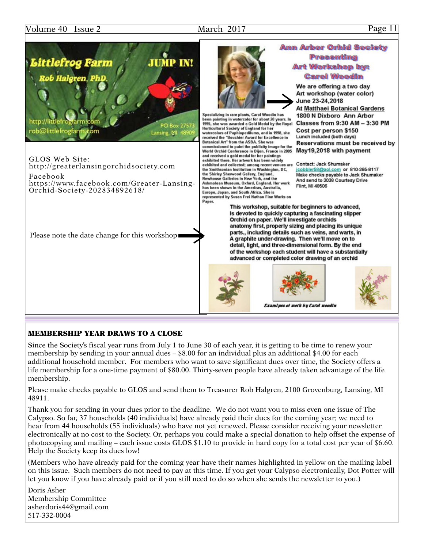### Volume 40 Issue 2 March 2017 March 2017 Page 11



#### MEMBERSHIP YEAR DRAWS TO A CLOSE

Since the Society's fiscal year runs from July 1 to June 30 of each year, it is getting to be time to renew your membership by sending in your annual dues – \$8.00 for an individual plus an additional \$4.00 for each additional household member. For members who want to save significant dues over time, the Society offers a life membership for a one-time payment of \$80.00. Thirty-seven people have already taken advantage of the life membership.

Please make checks payable to GLOS and send them to Treasurer Rob Halgren, 2100 Grovenburg, Lansing, MI 48911.

Thank you for sending in your dues prior to the deadline. We do not want you to miss even one issue of The Calypso. So far, 37 households (40 individuals) have already paid their dues for the coming year; we need to hear from 44 households (55 individuals) who have not yet renewed. Please consider receiving your newsletter electronically at no cost to the Society. Or, perhaps you could make a special donation to help offset the expense of photocopying and mailing – each issue costs GLOS \$1.10 to provide in hard copy for a total cost per year of \$6.60. Help the Society keep its dues low!

(Members who have already paid for the coming year have their names highlighted in yellow on the mailing label on this issue. Such members do not need to pay at this time. If you get your Calypso electronically, Dot Potter will let you know if you have already paid or if you still need to do so when she sends the newsletter to you.)

Doris Asher Membership Committee asherdoris44@gmail.com 517-332-0004